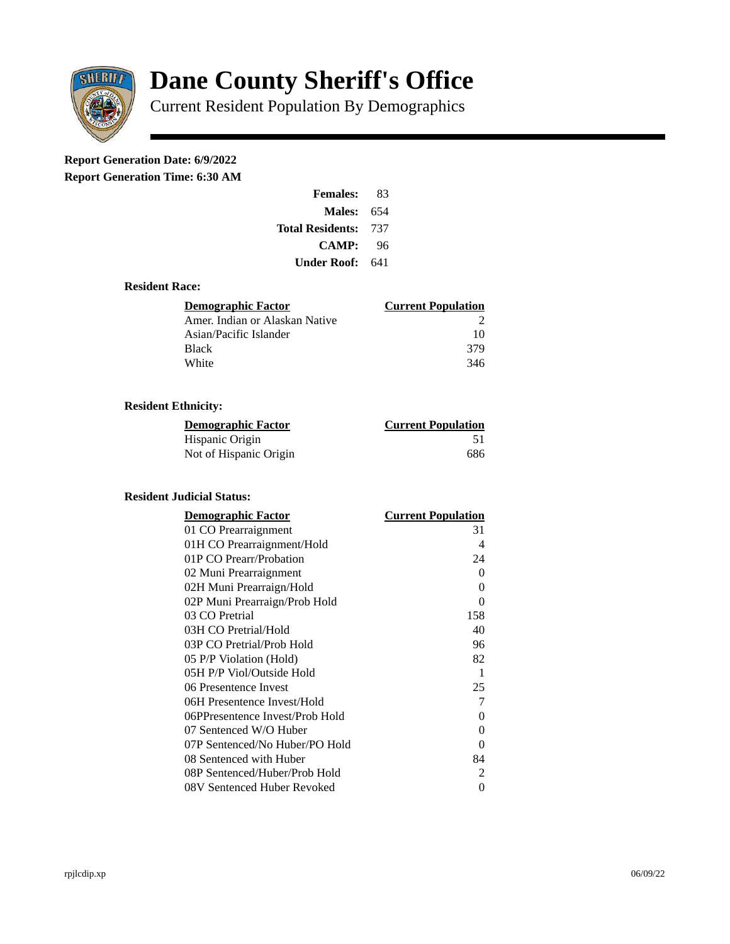

# **Dane County Sheriff's Office**

Current Resident Population By Demographics

## **Report Generation Date: 6/9/2022**

**Report Generation Time: 6:30 AM** 

| <b>Females:</b>         | 83  |
|-------------------------|-----|
| Males:                  | 654 |
| <b>Total Residents:</b> | 737 |
| CAMP:                   | 96  |
| Under Roof: \           | 641 |

#### **Resident Race:**

| Demographic Factor             | <b>Current Population</b> |
|--------------------------------|---------------------------|
| Amer. Indian or Alaskan Native |                           |
| Asian/Pacific Islander         | 10                        |
| Black                          | 379                       |
| White                          | 346                       |

### **Resident Ethnicity:**

| <u> Demographic Factor</u> | <b>Current Population</b> |
|----------------------------|---------------------------|
| Hispanic Origin            |                           |
| Not of Hispanic Origin     | 686                       |

#### **Resident Judicial Status:**

| <u>Demographic Factor</u>       | <u> Current Population</u> |
|---------------------------------|----------------------------|
| 01 CO Prearraignment            | 31                         |
| 01H CO Prearraignment/Hold      | 4                          |
| 01P CO Prearr/Probation         | 24                         |
| 02 Muni Prearraignment          | 0                          |
| 02H Muni Prearraign/Hold        | 0                          |
| 02P Muni Prearraign/Prob Hold   | 0                          |
| 03 CO Pretrial                  | 158                        |
| 03H CO Pretrial/Hold            | 40                         |
| 03P CO Pretrial/Prob Hold       | 96                         |
| 05 P/P Violation (Hold)         | 82                         |
| 05H P/P Viol/Outside Hold       | 1                          |
| 06 Presentence Invest           | 25                         |
| 06H Presentence Invest/Hold     | 7                          |
| 06PPresentence Invest/Prob Hold | 0                          |
| 07 Sentenced W/O Huber          | 0                          |
| 07P Sentenced/No Huber/PO Hold  | 0                          |
| 08 Sentenced with Huber         | 84                         |
| 08P Sentenced/Huber/Prob Hold   | 2                          |
| 08V Sentenced Huber Revoked     | 0                          |